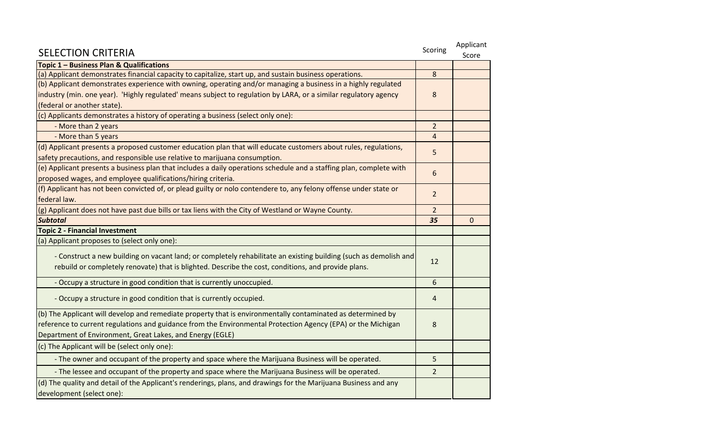| <b>SELECTION CRITERIA</b>                                                                                           | Scoring        | Applicant<br>Score |
|---------------------------------------------------------------------------------------------------------------------|----------------|--------------------|
| Topic 1 - Business Plan & Qualifications                                                                            |                |                    |
| (a) Applicant demonstrates financial capacity to capitalize, start up, and sustain business operations.             | 8              |                    |
| (b) Applicant demonstrates experience with owning, operating and/or managing a business in a highly regulated       | 8              |                    |
| industry (min. one year). 'Highly regulated' means subject to regulation by LARA, or a similar regulatory agency    |                |                    |
| (federal or another state).                                                                                         |                |                    |
| (c) Applicants demonstrates a history of operating a business (select only one):                                    |                |                    |
| - More than 2 years                                                                                                 | $\overline{2}$ |                    |
| - More than 5 years                                                                                                 | $\overline{4}$ |                    |
| (d) Applicant presents a proposed customer education plan that will educate customers about rules, regulations,     | 5              |                    |
| safety precautions, and responsible use relative to marijuana consumption.                                          |                |                    |
| (e) Applicant presents a business plan that includes a daily operations schedule and a staffing plan, complete with |                |                    |
| proposed wages, and employee qualifications/hiring criteria.                                                        | 6              |                    |
| (f) Applicant has not been convicted of, or plead guilty or nolo contendere to, any felony offense under state or   | $\overline{2}$ |                    |
| federal law.                                                                                                        |                |                    |
| (g) Applicant does not have past due bills or tax liens with the City of Westland or Wayne County.                  | $\overline{2}$ |                    |
| <b>Subtotal</b>                                                                                                     | 35             | $\mathbf{0}$       |
| <b>Topic 2 - Financial Investment</b>                                                                               |                |                    |
| (a) Applicant proposes to (select only one):                                                                        |                |                    |
| - Construct a new building on vacant land; or completely rehabilitate an existing building (such as demolish and    | 12             |                    |
| rebuild or completely renovate) that is blighted. Describe the cost, conditions, and provide plans.                 |                |                    |
|                                                                                                                     |                |                    |
| - Occupy a structure in good condition that is currently unoccupied.                                                | 6              |                    |
| - Occupy a structure in good condition that is currently occupied.                                                  | 4              |                    |
| (b) The Applicant will develop and remediate property that is environmentally contaminated as determined by         |                |                    |
| reference to current regulations and guidance from the Environmental Protection Agency (EPA) or the Michigan        | 8              |                    |
| Department of Environment, Great Lakes, and Energy (EGLE)                                                           |                |                    |
| (c) The Applicant will be (select only one):                                                                        |                |                    |
| - The owner and occupant of the property and space where the Marijuana Business will be operated.                   | 5              |                    |
| - The lessee and occupant of the property and space where the Marijuana Business will be operated.                  | $\overline{2}$ |                    |
| (d) The quality and detail of the Applicant's renderings, plans, and drawings for the Marijuana Business and any    |                |                    |
| development (select one):                                                                                           |                |                    |